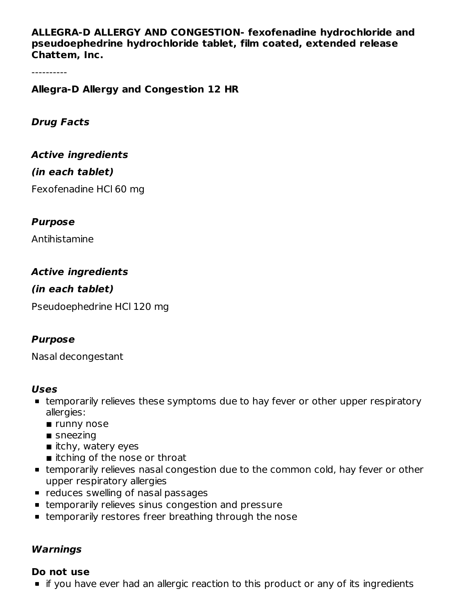**ALLEGRA-D ALLERGY AND CONGESTION- fexofenadine hydrochloride and pseudoephedrine hydrochloride tablet, film coated, extended release Chattem, Inc.**

----------

**Allegra-D Allergy and Congestion 12 HR**

**Drug Facts**

**Active ingredients**

#### **(in each tablet)**

Fexofenadine HCl 60 mg

#### **Purpose**

Antihistamine

## **Active ingredients**

## **(in each tablet)**

Pseudoephedrine HCl 120 mg

#### **Purpose**

Nasal decongestant

#### **Uses**

- temporarily relieves these symptoms due to hay fever or other upper respiratory allergies:
	- **runny nose**
	- $\blacksquare$  sneezing
	- $\blacksquare$  itchy, watery eyes
	- itching of the nose or throat
- temporarily relieves nasal congestion due to the common cold, hay fever or other upper respiratory allergies
- **•** reduces swelling of nasal passages
- **Exampted Figure 1** temporarily relieves sinus congestion and pressure
- temporarily restores freer breathing through the nose

#### **Warnings**

#### **Do not use**

if you have ever had an allergic reaction to this product or any of its ingredients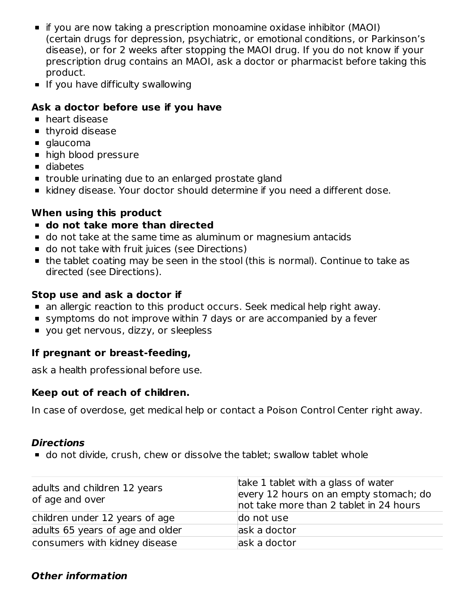- **•** if you are now taking a prescription monoamine oxidase inhibitor (MAOI) (certain drugs for depression, psychiatric, or emotional conditions, or Parkinson's disease), or for 2 weeks after stopping the MAOI drug. If you do not know if your prescription drug contains an MAOI, ask a doctor or pharmacist before taking this product.
- **If you have difficulty swallowing**

# **Ask a doctor before use if you have**

- heart disease
- **thyroid disease**
- glaucoma
- high blood pressure
- diabetes
- **trouble urinating due to an enlarged prostate gland**
- kidney disease. Your doctor should determine if you need a different dose.

# **When using this product**

- **do not take more than directed**
- do not take at the same time as aluminum or magnesium antacids
- **do not take with fruit juices (see Directions)**
- the tablet coating may be seen in the stool (this is normal). Continue to take as directed (see Directions).

## **Stop use and ask a doctor if**

- an allergic reaction to this product occurs. Seek medical help right away.
- symptoms do not improve within 7 days or are accompanied by a fever
- vou get nervous, dizzy, or sleepless

# **If pregnant or breast-feeding,**

ask a health professional before use.

# **Keep out of reach of children.**

In case of overdose, get medical help or contact a Poison Control Center right away.

#### **Directions**

do not divide, crush, chew or dissolve the tablet; swallow tablet whole

| adults and children 12 years<br>of age and over | take 1 tablet with a glass of water<br>every 12 hours on an empty stomach; do<br>not take more than 2 tablet in 24 hours |
|-------------------------------------------------|--------------------------------------------------------------------------------------------------------------------------|
| children under 12 years of age                  | do not use                                                                                                               |
| adults 65 years of age and older                | ask a doctor                                                                                                             |
| consumers with kidney disease                   | ask a doctor                                                                                                             |

# **Other information**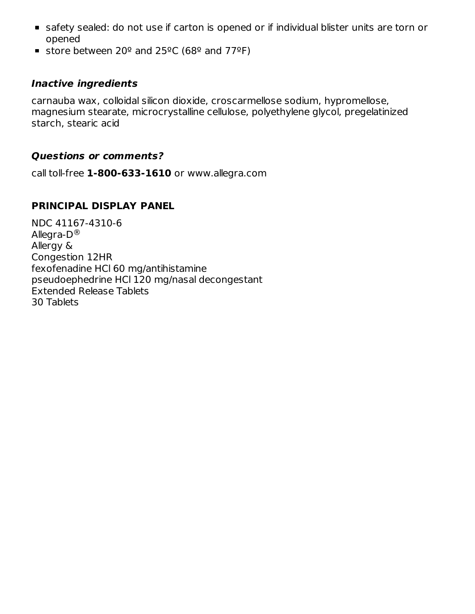- safety sealed: do not use if carton is opened or if individual blister units are torn or opened
- store between 20 $\textdegree$  and 25 $\textdegree$ C (68 $\textdegree$  and 77 $\textdegree$ F)

#### **Inactive ingredients**

carnauba wax, colloidal silicon dioxide, croscarmellose sodium, hypromellose, magnesium stearate, microcrystalline cellulose, polyethylene glycol, pregelatinized starch, stearic acid

#### **Questions or comments?**

call toll-free **1-800-633-1610** or www.allegra.com

## **PRINCIPAL DISPLAY PANEL**

NDC 41167-4310-6 Allegra-D $^\circledR$ Allergy & Congestion 12HR fexofenadine HCl 60 mg/antihistamine pseudoephedrine HCl 120 mg/nasal decongestant Extended Release Tablets 30 Tablets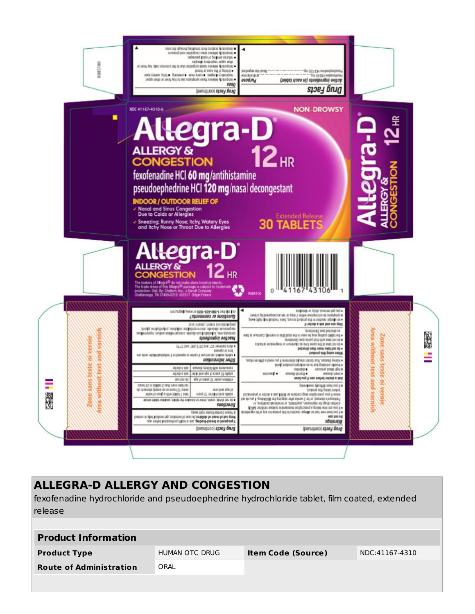

# **ALLEGRA-D ALLERGY AND CONGESTION**

fexofenadine hydrochloride and pseudoephedrine hydrochloride tablet, film coated, extended release

| <b>Product Information</b>     |                |                           |                |  |  |  |  |
|--------------------------------|----------------|---------------------------|----------------|--|--|--|--|
| <b>Product Type</b>            | HUMAN OTC DRUG | <b>Item Code (Source)</b> | NDC:41167-4310 |  |  |  |  |
| <b>Route of Administration</b> | ORAL           |                           |                |  |  |  |  |
|                                |                |                           |                |  |  |  |  |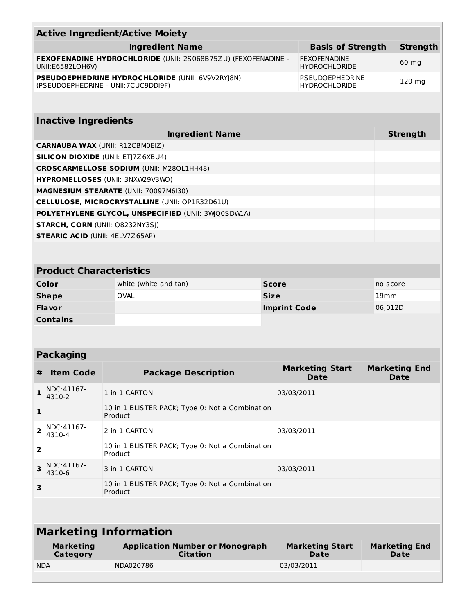|                                                                                   |                                                                                          | <b>Active Ingredient/Active Moiety</b>                     |                                                 |                                                |                 |                                     |  |  |  |  |
|-----------------------------------------------------------------------------------|------------------------------------------------------------------------------------------|------------------------------------------------------------|-------------------------------------------------|------------------------------------------------|-----------------|-------------------------------------|--|--|--|--|
| <b>Ingredient Name</b>                                                            |                                                                                          |                                                            | <b>Basis of Strength</b>                        |                                                | <b>Strength</b> |                                     |  |  |  |  |
| FEXOFENADINE HYDROCHLORIDE (UNII: 2S068B75ZU) (FEXOFENADINE -<br>UNII:E6582LOH6V) |                                                                                          |                                                            | <b>FEXOFENADINE</b><br><b>HYDROCHLORIDE</b>     |                                                |                 |                                     |  |  |  |  |
|                                                                                   | PSEUDOEPHEDRINE HYDROCHLORIDE (UNII: 6V9V2RYJ8N)<br>(PSEUDOEPHEDRINE - UNII: 7CUC9DDI9F) |                                                            |                                                 | <b>PSEUDOEPHEDRINE</b><br><b>HYDROCHLORIDE</b> |                 | 120 mg                              |  |  |  |  |
|                                                                                   |                                                                                          |                                                            |                                                 |                                                |                 |                                     |  |  |  |  |
| <b>Inactive Ingredients</b>                                                       |                                                                                          |                                                            |                                                 |                                                |                 |                                     |  |  |  |  |
|                                                                                   |                                                                                          |                                                            | <b>Ingredient Name</b>                          |                                                |                 | <b>Strength</b>                     |  |  |  |  |
| <b>CARNAUBA WAX (UNII: R12CBM0EIZ)</b>                                            |                                                                                          |                                                            |                                                 |                                                |                 |                                     |  |  |  |  |
| <b>SILICON DIOXIDE (UNII: ETJ7Z6XBU4)</b>                                         |                                                                                          |                                                            |                                                 |                                                |                 |                                     |  |  |  |  |
| <b>CROSCARMELLOSE SODIUM (UNII: M280L1HH48)</b>                                   |                                                                                          |                                                            |                                                 |                                                |                 |                                     |  |  |  |  |
| HYPROMELLOSES (UNII: 3NXW29V3WO)                                                  |                                                                                          |                                                            |                                                 |                                                |                 |                                     |  |  |  |  |
| MAGNESIUM STEARATE (UNII: 70097M6I30)                                             |                                                                                          |                                                            |                                                 |                                                |                 |                                     |  |  |  |  |
|                                                                                   |                                                                                          | CELLULOSE, MICROCRYSTALLINE (UNII: OP1R32D61U)             |                                                 |                                                |                 |                                     |  |  |  |  |
|                                                                                   | POLYETHYLENE GLYCOL, UNSPECIFIED (UNII: 3WQ0SDWLA)                                       |                                                            |                                                 |                                                |                 |                                     |  |  |  |  |
|                                                                                   |                                                                                          | STARCH, CORN (UNII: 08232NY3SJ)                            |                                                 |                                                |                 |                                     |  |  |  |  |
|                                                                                   | <b>STEARIC ACID (UNII: 4ELV7Z65AP)</b>                                                   |                                                            |                                                 |                                                |                 |                                     |  |  |  |  |
|                                                                                   |                                                                                          |                                                            |                                                 |                                                |                 |                                     |  |  |  |  |
|                                                                                   | <b>Product Characteristics</b>                                                           |                                                            |                                                 |                                                |                 |                                     |  |  |  |  |
|                                                                                   | Color                                                                                    | white (white and tan)                                      |                                                 | <b>Score</b>                                   |                 | no score                            |  |  |  |  |
| <b>OVAL</b><br><b>Shape</b>                                                       |                                                                                          | <b>Size</b>                                                |                                                 |                                                | 19mm            |                                     |  |  |  |  |
| <b>Flavor</b>                                                                     |                                                                                          |                                                            |                                                 | <b>Imprint Code</b>                            | 06;012D         |                                     |  |  |  |  |
| <b>Contains</b>                                                                   |                                                                                          |                                                            |                                                 |                                                |                 |                                     |  |  |  |  |
|                                                                                   |                                                                                          |                                                            |                                                 |                                                |                 |                                     |  |  |  |  |
|                                                                                   | <b>Packaging</b>                                                                         |                                                            |                                                 |                                                |                 |                                     |  |  |  |  |
| #                                                                                 | Item Code                                                                                | <b>Package Description</b>                                 |                                                 | <b>Marketing Start</b><br><b>Date</b>          |                 | <b>Marketing End</b><br><b>Date</b> |  |  |  |  |
| 1                                                                                 | NDC:41167-<br>4310-2                                                                     | 1 in 1 CARTON                                              |                                                 |                                                |                 |                                     |  |  |  |  |
| 1                                                                                 |                                                                                          | 10 in 1 BLISTER PACK; Type 0: Not a Combination<br>Product |                                                 |                                                |                 |                                     |  |  |  |  |
| 2                                                                                 | NDC:41167-<br>4310-4                                                                     | 2 in 1 CARTON                                              |                                                 |                                                |                 |                                     |  |  |  |  |
| $\overline{\mathbf{2}}$                                                           |                                                                                          | Product                                                    | 10 in 1 BLISTER PACK; Type 0: Not a Combination |                                                |                 |                                     |  |  |  |  |
| З                                                                                 | NDC:41167-<br>4310-6                                                                     | 3 in 1 CARTON                                              |                                                 | 03/03/2011                                     |                 |                                     |  |  |  |  |
| З                                                                                 |                                                                                          | 10 in 1 BLISTER PACK; Type 0: Not a Combination<br>Product |                                                 |                                                |                 |                                     |  |  |  |  |
|                                                                                   |                                                                                          |                                                            |                                                 |                                                |                 |                                     |  |  |  |  |
| <b>Marketing Information</b>                                                      |                                                                                          |                                                            |                                                 |                                                |                 |                                     |  |  |  |  |
|                                                                                   | <b>Marketing</b><br>Category                                                             | <b>Application Number or Monograph</b><br><b>Citation</b>  |                                                 | <b>Marketing Start</b><br><b>Date</b>          |                 | <b>Marketing End</b><br><b>Date</b> |  |  |  |  |
| <b>NDA</b>                                                                        |                                                                                          | NDA020786                                                  |                                                 | 03/03/2011                                     |                 |                                     |  |  |  |  |
|                                                                                   |                                                                                          |                                                            |                                                 |                                                |                 |                                     |  |  |  |  |